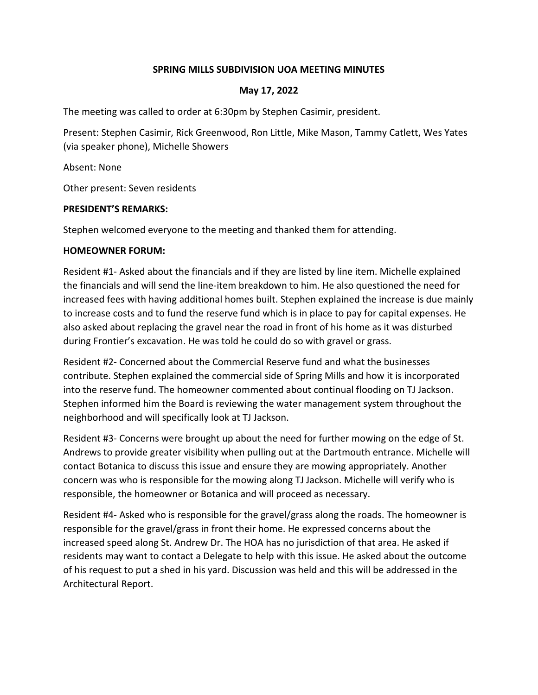## **SPRING MILLS SUBDIVISION UOA MEETING MINUTES**

### **May 17, 2022**

The meeting was called to order at 6:30pm by Stephen Casimir, president.

Present: Stephen Casimir, Rick Greenwood, Ron Little, Mike Mason, Tammy Catlett, Wes Yates (via speaker phone), Michelle Showers

Absent: None

Other present: Seven residents

#### **PRESIDENT'S REMARKS:**

Stephen welcomed everyone to the meeting and thanked them for attending.

#### **HOMEOWNER FORUM:**

Resident #1- Asked about the financials and if they are listed by line item. Michelle explained the financials and will send the line-item breakdown to him. He also questioned the need for increased fees with having additional homes built. Stephen explained the increase is due mainly to increase costs and to fund the reserve fund which is in place to pay for capital expenses. He also asked about replacing the gravel near the road in front of his home as it was disturbed during Frontier's excavation. He was told he could do so with gravel or grass.

Resident #2- Concerned about the Commercial Reserve fund and what the businesses contribute. Stephen explained the commercial side of Spring Mills and how it is incorporated into the reserve fund. The homeowner commented about continual flooding on TJ Jackson. Stephen informed him the Board is reviewing the water management system throughout the neighborhood and will specifically look at TJ Jackson.

Resident #3- Concerns were brought up about the need for further mowing on the edge of St. Andrews to provide greater visibility when pulling out at the Dartmouth entrance. Michelle will contact Botanica to discuss this issue and ensure they are mowing appropriately. Another concern was who is responsible for the mowing along TJ Jackson. Michelle will verify who is responsible, the homeowner or Botanica and will proceed as necessary.

Resident #4- Asked who is responsible for the gravel/grass along the roads. The homeowner is responsible for the gravel/grass in front their home. He expressed concerns about the increased speed along St. Andrew Dr. The HOA has no jurisdiction of that area. He asked if residents may want to contact a Delegate to help with this issue. He asked about the outcome of his request to put a shed in his yard. Discussion was held and this will be addressed in the Architectural Report.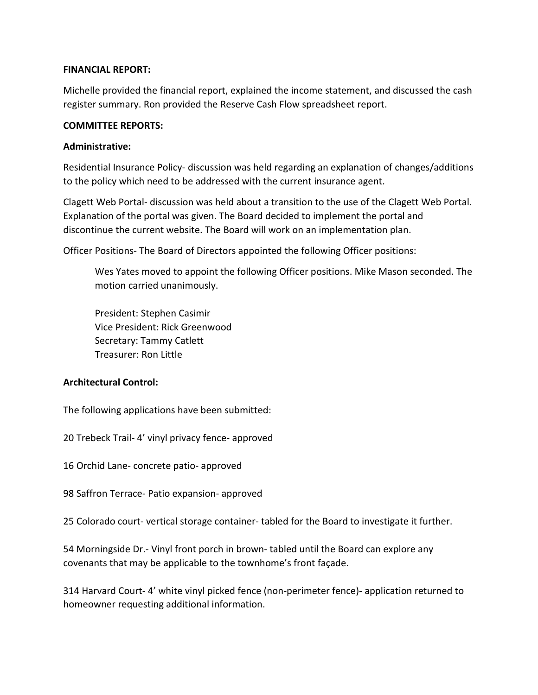### **FINANCIAL REPORT:**

Michelle provided the financial report, explained the income statement, and discussed the cash register summary. Ron provided the Reserve Cash Flow spreadsheet report.

### **COMMITTEE REPORTS:**

## **Administrative:**

Residential Insurance Policy- discussion was held regarding an explanation of changes/additions to the policy which need to be addressed with the current insurance agent.

Clagett Web Portal- discussion was held about a transition to the use of the Clagett Web Portal. Explanation of the portal was given. The Board decided to implement the portal and discontinue the current website. The Board will work on an implementation plan.

Officer Positions- The Board of Directors appointed the following Officer positions:

Wes Yates moved to appoint the following Officer positions. Mike Mason seconded. The motion carried unanimously.

President: Stephen Casimir Vice President: Rick Greenwood Secretary: Tammy Catlett Treasurer: Ron Little

# **Architectural Control:**

The following applications have been submitted:

20 Trebeck Trail- 4' vinyl privacy fence- approved

16 Orchid Lane- concrete patio- approved

98 Saffron Terrace- Patio expansion- approved

25 Colorado court- vertical storage container- tabled for the Board to investigate it further.

54 Morningside Dr.- Vinyl front porch in brown- tabled until the Board can explore any covenants that may be applicable to the townhome's front façade.

314 Harvard Court- 4' white vinyl picked fence (non-perimeter fence)- application returned to homeowner requesting additional information.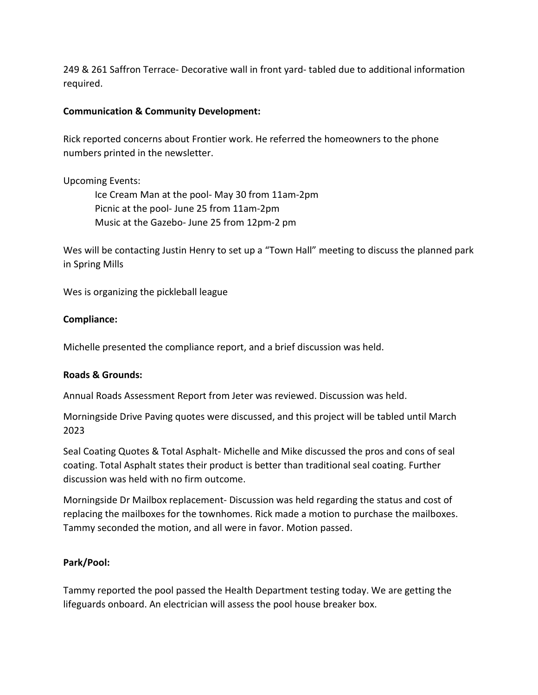249 & 261 Saffron Terrace- Decorative wall in front yard- tabled due to additional information required.

## **Communication & Community Development:**

Rick reported concerns about Frontier work. He referred the homeowners to the phone numbers printed in the newsletter.

Upcoming Events:

Ice Cream Man at the pool- May 30 from 11am-2pm Picnic at the pool- June 25 from 11am-2pm Music at the Gazebo- June 25 from 12pm-2 pm

Wes will be contacting Justin Henry to set up a "Town Hall" meeting to discuss the planned park in Spring Mills

Wes is organizing the pickleball league

## **Compliance:**

Michelle presented the compliance report, and a brief discussion was held.

### **Roads & Grounds:**

Annual Roads Assessment Report from Jeter was reviewed. Discussion was held.

Morningside Drive Paving quotes were discussed, and this project will be tabled until March 2023

Seal Coating Quotes & Total Asphalt- Michelle and Mike discussed the pros and cons of seal coating. Total Asphalt states their product is better than traditional seal coating. Further discussion was held with no firm outcome.

Morningside Dr Mailbox replacement- Discussion was held regarding the status and cost of replacing the mailboxes for the townhomes. Rick made a motion to purchase the mailboxes. Tammy seconded the motion, and all were in favor. Motion passed.

# **Park/Pool:**

Tammy reported the pool passed the Health Department testing today. We are getting the lifeguards onboard. An electrician will assess the pool house breaker box.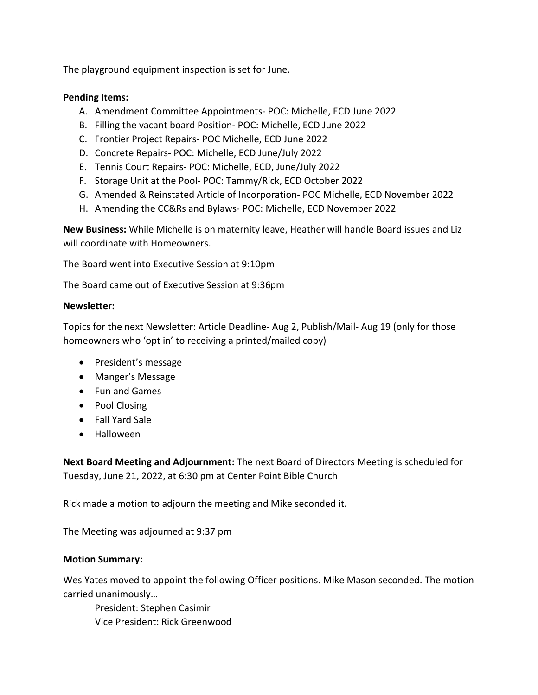The playground equipment inspection is set for June.

### **Pending Items:**

- A. Amendment Committee Appointments- POC: Michelle, ECD June 2022
- B. Filling the vacant board Position- POC: Michelle, ECD June 2022
- C. Frontier Project Repairs- POC Michelle, ECD June 2022
- D. Concrete Repairs- POC: Michelle, ECD June/July 2022
- E. Tennis Court Repairs- POC: Michelle, ECD, June/July 2022
- F. Storage Unit at the Pool- POC: Tammy/Rick, ECD October 2022
- G. Amended & Reinstated Article of Incorporation- POC Michelle, ECD November 2022
- H. Amending the CC&Rs and Bylaws- POC: Michelle, ECD November 2022

**New Business:** While Michelle is on maternity leave, Heather will handle Board issues and Liz will coordinate with Homeowners.

The Board went into Executive Session at 9:10pm

The Board came out of Executive Session at 9:36pm

#### **Newsletter:**

Topics for the next Newsletter: Article Deadline- Aug 2, Publish/Mail- Aug 19 (only for those homeowners who 'opt in' to receiving a printed/mailed copy)

- President's message
- Manger's Message
- Fun and Games
- Pool Closing
- Fall Yard Sale
- Halloween

**Next Board Meeting and Adjournment:** The next Board of Directors Meeting is scheduled for Tuesday, June 21, 2022, at 6:30 pm at Center Point Bible Church

Rick made a motion to adjourn the meeting and Mike seconded it.

The Meeting was adjourned at 9:37 pm

### **Motion Summary:**

Wes Yates moved to appoint the following Officer positions. Mike Mason seconded. The motion carried unanimously…

President: Stephen Casimir Vice President: Rick Greenwood